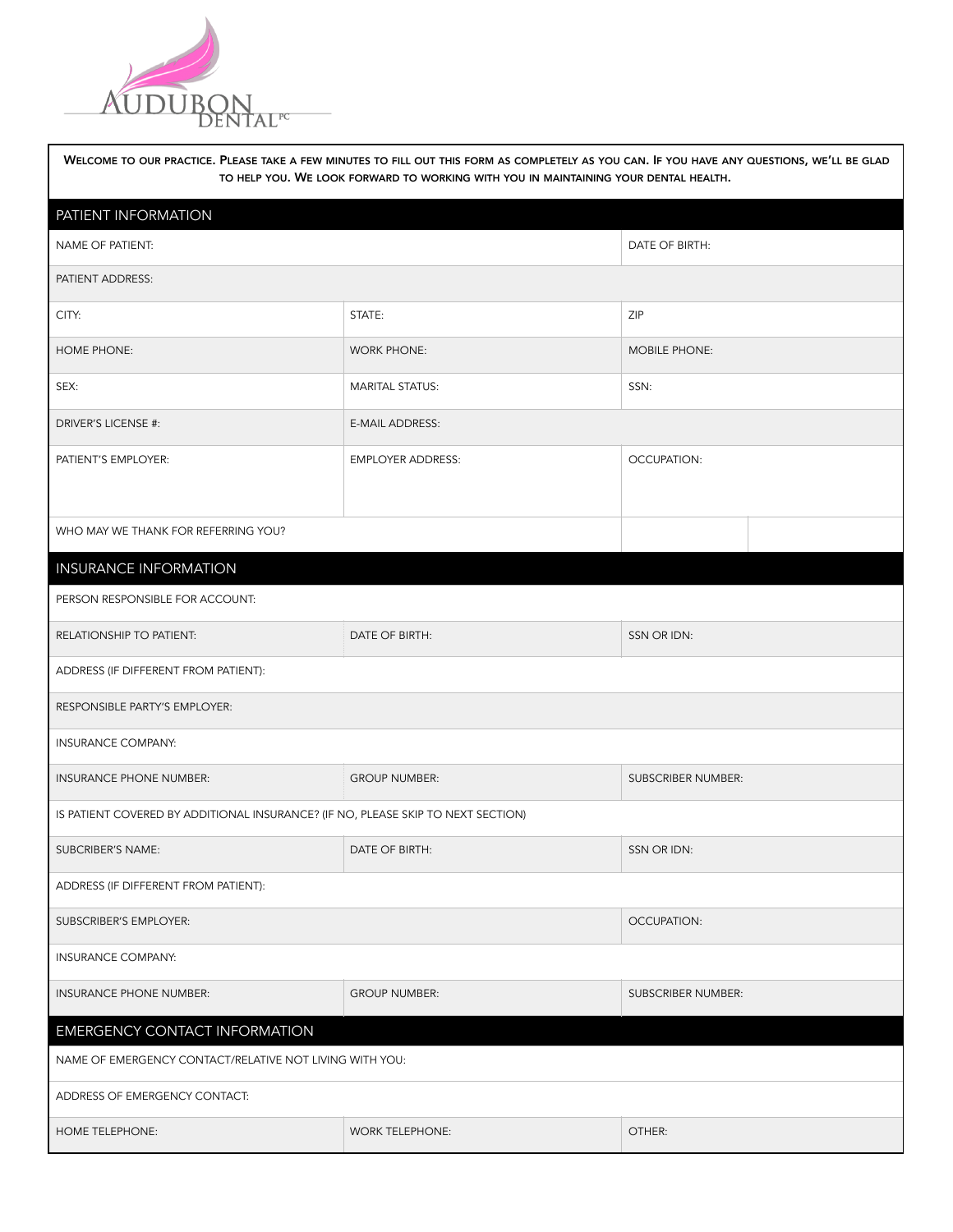

| WELCOME TO OUR PRACTICE. PLEASE TAKE A FEW MINUTES TO FILL OUT THIS FORM AS COMPLETELY AS YOU CAN. IF YOU HAVE ANY QUESTIONS, WE'LL BE GLAD<br>TO HELP YOU. WE LOOK FORWARD TO WORKING WITH YOU IN MAINTAINING YOUR DENTAL HEALTH. |                          |                      |  |  |  |  |
|------------------------------------------------------------------------------------------------------------------------------------------------------------------------------------------------------------------------------------|--------------------------|----------------------|--|--|--|--|
| PATIENT INFORMATION                                                                                                                                                                                                                |                          |                      |  |  |  |  |
| <b>NAME OF PATIENT:</b>                                                                                                                                                                                                            | DATE OF BIRTH:           |                      |  |  |  |  |
| PATIENT ADDRESS:                                                                                                                                                                                                                   |                          |                      |  |  |  |  |
| CITY:                                                                                                                                                                                                                              | STATE:                   | ZIP                  |  |  |  |  |
| HOME PHONE:                                                                                                                                                                                                                        | <b>WORK PHONE:</b>       | <b>MOBILE PHONE:</b> |  |  |  |  |
| SEX:                                                                                                                                                                                                                               | <b>MARITAL STATUS:</b>   | SSN:                 |  |  |  |  |
| DRIVER'S LICENSE #:                                                                                                                                                                                                                | E-MAIL ADDRESS:          |                      |  |  |  |  |
| PATIENT'S EMPLOYER:                                                                                                                                                                                                                | <b>EMPLOYER ADDRESS:</b> | OCCUPATION:          |  |  |  |  |
|                                                                                                                                                                                                                                    |                          |                      |  |  |  |  |
| WHO MAY WE THANK FOR REFERRING YOU?                                                                                                                                                                                                |                          |                      |  |  |  |  |
| <b>INSURANCE INFORMATION</b>                                                                                                                                                                                                       |                          |                      |  |  |  |  |
| PERSON RESPONSIBLE FOR ACCOUNT:                                                                                                                                                                                                    |                          |                      |  |  |  |  |
| RELATIONSHIP TO PATIENT:                                                                                                                                                                                                           | DATE OF BIRTH:           | SSN OR IDN:          |  |  |  |  |
| ADDRESS (IF DIFFERENT FROM PATIENT):                                                                                                                                                                                               |                          |                      |  |  |  |  |
| RESPONSIBLE PARTY'S EMPLOYER:                                                                                                                                                                                                      |                          |                      |  |  |  |  |
| <b>INSURANCE COMPANY:</b>                                                                                                                                                                                                          |                          |                      |  |  |  |  |
| INSURANCE PHONE NUMBER:                                                                                                                                                                                                            | <b>GROUP NUMBER:</b>     | SUBSCRIBER NUMBER:   |  |  |  |  |
| IS PATIENT COVERED BY ADDITIONAL INSURANCE? (IF NO, PLEASE SKIP TO NEXT SECTION)                                                                                                                                                   |                          |                      |  |  |  |  |
| SUBCRIBER'S NAME:                                                                                                                                                                                                                  | SSN OR IDN:              |                      |  |  |  |  |
| ADDRESS (IF DIFFERENT FROM PATIENT):                                                                                                                                                                                               |                          |                      |  |  |  |  |
| SUBSCRIBER'S EMPLOYER:                                                                                                                                                                                                             | <b>OCCUPATION:</b>       |                      |  |  |  |  |
| <b>INSURANCE COMPANY:</b>                                                                                                                                                                                                          |                          |                      |  |  |  |  |
| INSURANCE PHONE NUMBER:                                                                                                                                                                                                            | <b>GROUP NUMBER:</b>     |                      |  |  |  |  |
| <b>EMERGENCY CONTACT INFORMATION</b>                                                                                                                                                                                               |                          |                      |  |  |  |  |
| NAME OF EMERGENCY CONTACT/RELATIVE NOT LIVING WITH YOU:                                                                                                                                                                            |                          |                      |  |  |  |  |
| ADDRESS OF EMERGENCY CONTACT:                                                                                                                                                                                                      |                          |                      |  |  |  |  |
| HOME TELEPHONE:                                                                                                                                                                                                                    | <b>WORK TELEPHONE:</b>   | OTHER:               |  |  |  |  |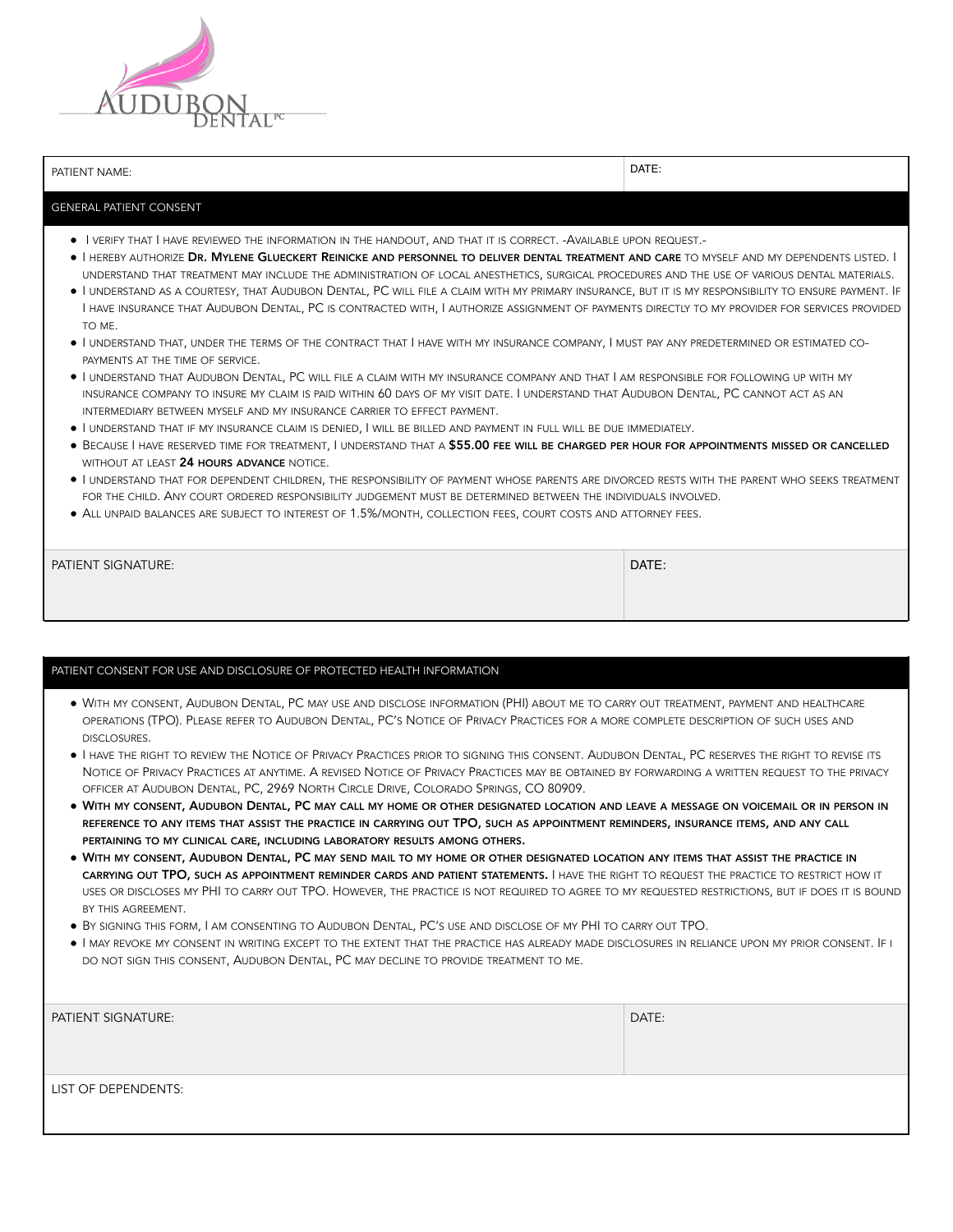

PATIENT NAME: DATE: DATE: DATE: DATE: DATE: DATE: DATE: DATE: DATE: DATE: DATE: DATE: DATE: DATE: DATE: DATE: DATE: DATE: DATE: DATE: DATE: DATE: DATE: DATE: DATE: DATE: DATE: DATE: DATE: DATE: DATE: DATE: DATE: DATE: DATE

## GENERAL PATIENT CONSENT

- I VERIFY THAT I HAVE REVIEWED THE INFORMATION IN THE HANDOUT, AND THAT IT IS CORRECT. -AVAILABLE UPON REQUEST.-
- **· I HEREBY AUTHORIZE DR. MYLENE GLUECKERT REINICKE AND PERSONNEL TO DELIVER DENTAL TREATMENT AND CARE** TO MYSELF AND MY DEPENDENTS LISTED. I UNDERSTAND THAT TREATMENT MAY INCLUDE THE ADMINISTRATION OF LOCAL ANESTHETICS, SURGICAL PROCEDURES AND THE USE OF VARIOUS DENTAL MATERIALS.
- I UNDERSTAND AS <sup>A</sup> COURTESY, THAT AUDUBON DENTAL, PC WILL FILE <sup>A</sup> CLAIM WITH MY PRIMARY INSURANCE, BUT IT IS MY RESPONSIBILITY TO ENSURE PAYMENT. IF I HAVE INSURANCE THAT AUDUBON DENTAL, PC IS CONTRACTED WITH, I AUTHORIZE ASSIGNMENT OF PAYMENTS DIRECTLY TO MY PROVIDER FOR SERVICES PROVIDED TO ME.
- I UNDERSTAND THAT, UNDER THE TERMS OF THE CONTRACT THAT I HAVE WITH MY INSURANCE COMPANY, I MUST PAY ANY PREDETERMINED OR ESTIMATED CO-PAYMENTS AT THE TIME OF SERVICE.
- I UNDERSTAND THAT AUDUBON DENTAL, PC WILL FILE <sup>A</sup> CLAIM WITH MY INSURANCE COMPANY AND THAT I AM RESPONSIBLE FOR FOLLOWING UP WITH MY INSURANCE COMPANY TO INSURE MY CLAIM IS PAID WITHIN 60 DAYS OF MY VISIT DATE. I UNDERSTAND THAT AUDUBON DENTAL, PC CANNOT ACT AS AN INTERMEDIARY BETWEEN MYSELF AND MY INSURANCE CARRIER TO EFFECT PAYMENT.
- I UNDERSTAND THAT IF MY INSURANCE CLAIM IS DENIED, I WILL BE BILLED AND PAYMENT IN FULL WILL BE DUE IMMEDIATELY.
- **BECAUSE I HAVE RESERVED TIME FOR TREATMENT, I UNDERSTAND THAT A \$55.00 FEE WILL BE CHARGED PER HOUR FOR APPOINTMENTS MISSED OR CANCELLED** WITHOUT AT LEAST 24 HOURS ADVANCE NOTICE.
- I UNDERSTAND THAT FOR DEPENDENT CHILDREN, THE RESPONSIBILITY OF PAYMENT WHOSE PARENTS ARE DIVORCED RESTS WITH THE PARENT WHO SEEKS TREATMENT FOR THE CHILD. ANY COURT ORDERED RESPONSIBILITY JUDGEMENT MUST BE DETERMINED BETWEEN THE INDIVIDUALS INVOLVED.
- ALL UNPAID BALANCES ARE SUBJECT TO INTEREST OF 1.5%/MONTH, COLLECTION FEES, COURT COSTS AND ATTORNEY FEES.

| <b>PATIENT SIGNATURE:</b> | DATE: |
|---------------------------|-------|
|                           |       |

## PATIENT CONSENT FOR USE AND DISCLOSURE OF PROTECTED HEALTH INFORMATION

- WITH MY CONSENT, AUDUBON DENTAL, PC MAY USE AND DISCLOSE INFORMATION (PHI) ABOUT ME TO CARRY OUT TREATMENT, PAYMENT AND HEALTHCARE OPERATIONS (TPO). PLEASE REFER TO AUDUBON DENTAL, PC'S NOTICE OF PRIVACY PRACTICES FOR A MORE COMPLETE DESCRIPTION OF SUCH USES AND DISCLOSURES.
- I HAVE THE RIGHT TO REVIEW THE NOTICE OF PRIVACY PRACTICES PRIOR TO SIGNING THIS CONSENT. AUDUBON DENTAL, PC RESERVES THE RIGHT TO REVISE ITS NOTICE OF PRIVACY PRACTICES AT ANYTIME. A REVISED NOTICE OF PRIVACY PRACTICES MAY BE OBTAINED BY FORWARDING A WRITTEN REQUEST TO THE PRIVACY OFFICER AT AUDUBON DENTAL, PC, 2969 NORTH CIRCLE DRIVE, COLORADO SPRINGS, CO 80909.
- WITH MY CONSENT, AUDUBON DENTAL, PC MAY CALL MY HOME OR OTHER DESIGNATED LOCATION AND LEAVE <sup>A</sup> MESSAGE ON VOICEMAIL OR IN PERSON IN REFERENCE TO ANY ITEMS THAT ASSIST THE PRACTICE IN CARRYING OUT TPO, SUCH AS APPOINTMENT REMINDERS, INSURANCE ITEMS, AND ANY CALL PERTAINING TO MY CLINICAL CARE, INCLUDING LABORATORY RESULTS AMONG OTHERS.
- WITH MY CONSENT, AUDUBON DENTAL, PC MAY SEND MAIL TO MY HOME OR OTHER DESIGNATED LOCATION ANY ITEMS THAT ASSIST THE PRACTICE IN CARRYING OUT TPO, SUCH AS APPOINTMENT REMINDER CARDS AND PATIENT STATEMENTS. I HAVE THE RIGHT TO REQUEST THE PRACTICE TO RESTRICT HOW IT USES OR DISCLOSES MY PHI TO CARRY OUT TPO. HOWEVER, THE PRACTICE IS NOT REQUIRED TO AGREE TO MY REQUESTED RESTRICTIONS, BUT IF DOES IT IS BOUND BY THIS AGREEMENT.
- BY SIGNING THIS FORM, I AM CONSENTING TO AUDUBON DENTAL, PC'S USE AND DISCLOSE OF MY PHI TO CARRY OUT TPO.
- I MAY REVOKE MY CONSENT IN WRITING EXCEPT TO THE EXTENT THAT THE PRACTICE HAS ALREADY MADE DISCLOSURES IN RELIANCE UPON MY PRIOR CONSENT. IF <sup>I</sup> DO NOT SIGN THIS CONSENT, AUDUBON DENTAL, PC MAY DECLINE TO PROVIDE TREATMENT TO ME.

| <b>PATIENT SIGNATURE:</b> | DATE: |
|---------------------------|-------|
| LIST OF DEPENDENTS:       |       |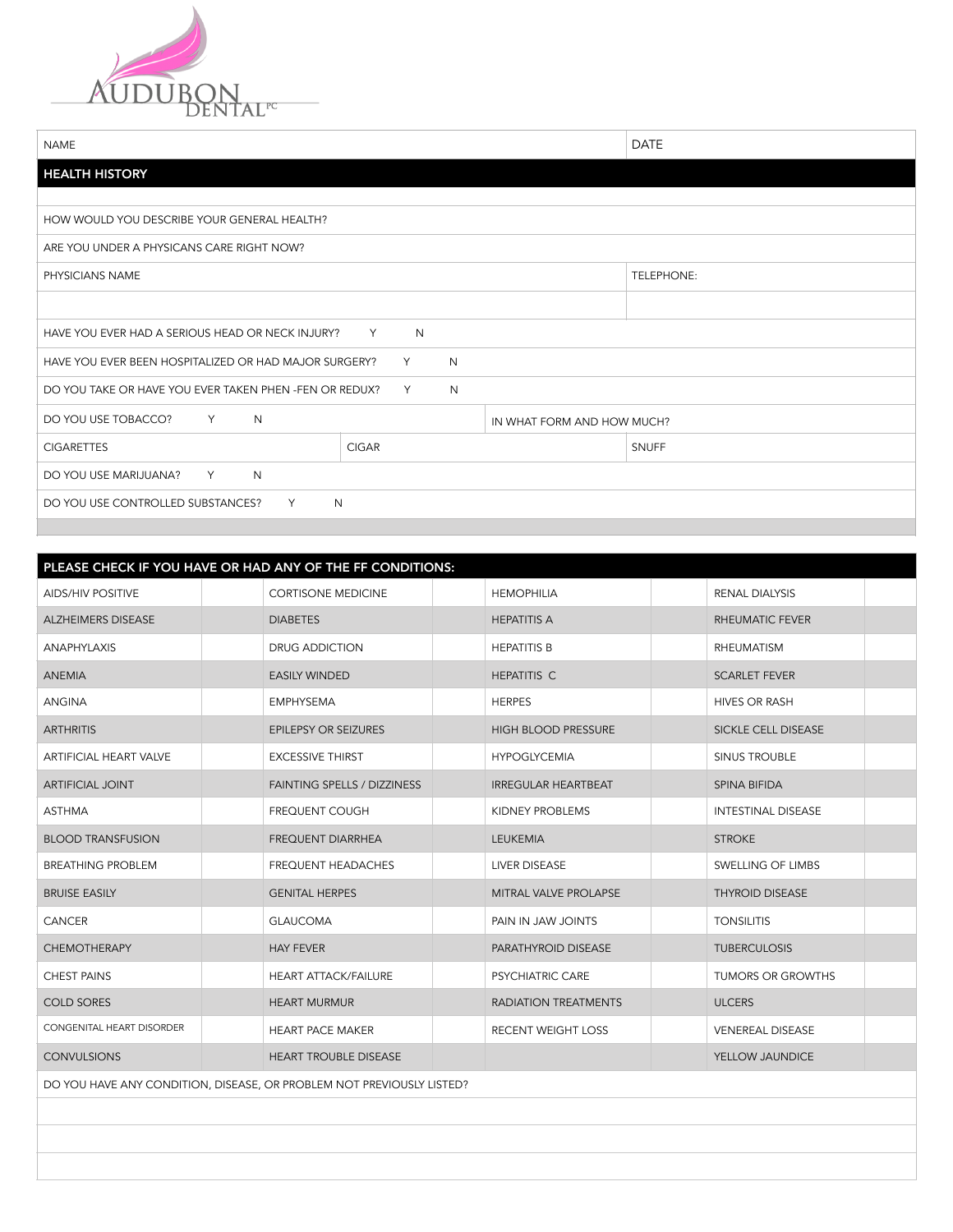

| <b>NAME</b>                                                      |              |                            | <b>DATE</b>  |  |
|------------------------------------------------------------------|--------------|----------------------------|--------------|--|
| <b>HEALTH HISTORY</b>                                            |              |                            |              |  |
|                                                                  |              |                            |              |  |
| HOW WOULD YOU DESCRIBE YOUR GENERAL HEALTH?                      |              |                            |              |  |
| ARE YOU UNDER A PHYSICANS CARE RIGHT NOW?                        |              |                            |              |  |
| PHYSICIANS NAME                                                  |              |                            | TELEPHONE:   |  |
|                                                                  |              |                            |              |  |
| HAVE YOU EVER HAD A SERIOUS HEAD OR NECK INJURY?<br>N<br>Y       |              |                            |              |  |
| N<br>HAVE YOU EVER BEEN HOSPITALIZED OR HAD MAJOR SURGERY?<br>Y  |              |                            |              |  |
| DO YOU TAKE OR HAVE YOU EVER TAKEN PHEN -FEN OR REDUX?<br>N<br>Y |              |                            |              |  |
| DO YOU USE TOBACCO?<br>$Y = 1$<br>N                              |              | IN WHAT FORM AND HOW MUCH? |              |  |
| <b>CIGARETTES</b>                                                | <b>CIGAR</b> |                            | <b>SNUFF</b> |  |
| DO YOU USE MARIJUANA?<br>Y<br>N                                  |              |                            |              |  |
| DO YOU USE CONTROLLED SUBSTANCES?<br>N<br>Y                      |              |                            |              |  |
|                                                                  |              |                            |              |  |

|                           | PLEASE CHECK IF YOU HAVE OR HAD ANY OF THE FF CONDITIONS:             |                              |                           |
|---------------------------|-----------------------------------------------------------------------|------------------------------|---------------------------|
| <b>AIDS/HIV POSITIVE</b>  | <b>CORTISONE MEDICINE</b>                                             | <b>HEMOPHILIA</b>            | RENAL DIALYSIS            |
| <b>ALZHEIMERS DISEASE</b> | <b>DIABETES</b>                                                       | <b>HEPATITIS A</b>           | RHEUMATIC FEVER           |
| <b>ANAPHYLAXIS</b>        | DRUG ADDICTION                                                        | <b>HEPATITIS B</b>           | <b>RHEUMATISM</b>         |
| <b>ANEMIA</b>             | <b>EASILY WINDED</b>                                                  | <b>HEPATITIS C</b>           | <b>SCARLET FEVER</b>      |
| <b>ANGINA</b>             | <b>EMPHYSEMA</b>                                                      | <b>HERPES</b>                | <b>HIVES OR RASH</b>      |
| <b>ARTHRITIS</b>          | <b>EPILEPSY OR SEIZURES</b>                                           | HIGH BLOOD PRESSURE          | SICKLE CELL DISEASE       |
| ARTIFICIAL HEART VALVE    | <b>EXCESSIVE THIRST</b>                                               | <b>HYPOGLYCEMIA</b>          | SINUS TROUBLE             |
| <b>ARTIFICIAL JOINT</b>   | <b>FAINTING SPELLS / DIZZINESS</b>                                    | <b>IRREGULAR HEARTBEAT</b>   | SPINA BIFIDA              |
| <b>ASTHMA</b>             | FREQUENT COUGH                                                        | KIDNEY PROBLEMS              | <b>INTESTINAL DISEASE</b> |
| <b>BLOOD TRANSFUSION</b>  | <b>FREQUENT DIARRHEA</b>                                              | <b>LEUKEMIA</b>              | <b>STROKE</b>             |
| <b>BREATHING PROBLEM</b>  | FREQUENT HEADACHES                                                    | <b>LIVER DISEASE</b>         | SWELLING OF LIMBS         |
| <b>BRUISE EASILY</b>      | <b>GENITAL HERPES</b>                                                 | <b>MITRAL VALVE PROLAPSE</b> | <b>THYROID DISEASE</b>    |
| CANCER                    | <b>GLAUCOMA</b>                                                       | PAIN IN JAW JOINTS           | <b>TONSILITIS</b>         |
| <b>CHEMOTHERAPY</b>       | <b>HAY FEVER</b>                                                      | PARATHYROID DISEASE          | <b>TUBERCULOSIS</b>       |
| <b>CHEST PAINS</b>        | <b>HEART ATTACK/FAILURE</b>                                           | <b>PSYCHIATRIC CARE</b>      | TUMORS OR GROWTHS         |
| <b>COLD SORES</b>         | <b>HEART MURMUR</b>                                                   | RADIATION TREATMENTS         | <b>ULCERS</b>             |
| CONGENITAL HEART DISORDER | <b>HEART PACE MAKER</b>                                               | RECENT WEIGHT LOSS           | <b>VENEREAL DISEASE</b>   |
| <b>CONVULSIONS</b>        | <b>HEART TROUBLE DISEASE</b>                                          |                              | YELLOW JAUNDICE           |
|                           | DO YOU HAVE ANY CONDITION, DISEASE, OR PROBLEM NOT PREVIOUSLY LISTED? |                              |                           |
|                           |                                                                       |                              |                           |
|                           |                                                                       |                              |                           |
|                           |                                                                       |                              |                           |